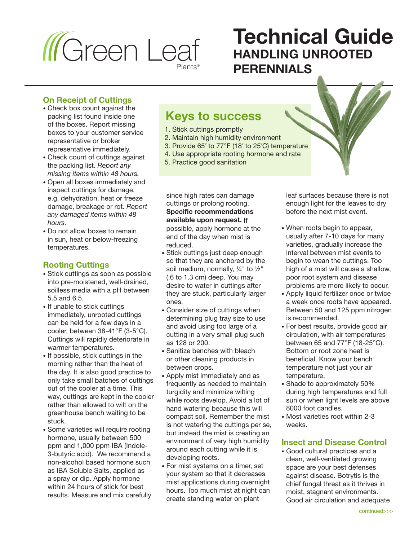

# **Technical Guide HANDLING UNROOTED PERENNIALS**

#### **On Receipt of Cuttings**

- Check box count against the packing list found inside one of the boxes. Report missing boxes to your customer service representative or broker representative immediately.
- Check count of cuttings against the packing list. *Report any missing items within 48 hours.*
- Open all boxes immediately and inspect cuttings for damage, e.g. dehydration, heat or freeze damage, breakage or rot. *Report any damaged items within 48 hours.*
- Do not allow boxes to remain in sun, heat or below-freezing temperatures.

### **Rooting Cuttings**

- Stick cuttings as soon as possible into pre-moistened, well-drained, soilless media with a pH between 5.5 and 6.5.
- If unable to stick cuttings immediately, unrooted cuttings can be held for a few days in a cooler, between 38-41°F (3-5°C). Cuttings will rapidly deteriorate in warmer temperatures.
- If possible, stick cuttings in the morning rather than the heat of the day. It is also good practice to only take small batches of cuttings out of the cooler at a time. This way, cuttings are kept in the cooler rather than allowed to wilt on the greenhouse bench waiting to be stuck.
- Some varieties will require rooting hormone, usually between 500 ppm and 1,000 ppm IBA (Indole-3-butyric acid). We recommend a non-alcohol based hormone such as IBA Soluble Salts, applied as a spray or dip. Apply hormone within 24 hours of stick for best results. Measure and mix carefully

## **Keys to success**

- 1. Stick cuttings promptly
- 2. Maintain high humidity environment
- 3. Provide 65˚ to 77°F (18˚ to 25˚C) temperature
- 4. Use appropriate rooting hormone and rate
- 5. Practice good sanitation

since high rates can damage cuttings or prolong rooting. **Specific recommendations available upon request.** If possible, apply hormone at the end of the day when mist is reduced.

- Stick cuttings just deep enough so that they are anchored by the soil medium, normally, ¼" to ½" (.6 to 1.3 cm) deep. You may desire to water in cuttings after they are stuck, particularly larger ones.
- Consider size of cuttings when determining plug tray size to use and avoid using too large of a cutting in a very small plug such as 128 or 200.
- Sanitize benches with bleach or other cleaning products in between crops.
- Apply mist immediately and as frequently as needed to maintain turgidity and minimize wilting while roots develop. Avoid a lot of hand watering because this will compact soil. Remember the mist is not watering the cuttings per se, but instead the mist is creating an environment of very high humidity around each cutting while it is developing roots.
- For mist systems on a timer, set your system so that it decreases mist applications during overnight hours. Too much mist at night can create standing water on plant

leaf surfaces because there is not enough light for the leaves to dry before the next mist event.

- When roots begin to appear, usually after 7-10 days for many varieties, gradually increase the interval between mist events to begin to wean the cuttings. Too high of a mist will cause a shallow, poor root system and disease problems are more likely to occur.
- Apply liquid fertilizer once or twice a week once roots have appeared. Between 50 and 125 ppm nitrogen is recommended.
- For best results, provide good air circulation, with air temperatures between 65 and 77°F (18-25°C). Bottom or root zone heat is beneficial. Know your bench temperature not just your air temperature.
- Shade to approximately 50% during high temperatures and full sun or when light levels are above 8000 foot candles.
- Most varieties root within 2-3 weeks.

#### **Insect and Disease Control**

• Good cultural practices and a clean, well-ventilated growing space are your best defenses against disease. Botrytis is the chief fungal threat as it thrives in moist, stagnant environments. Good air circulation and adequate